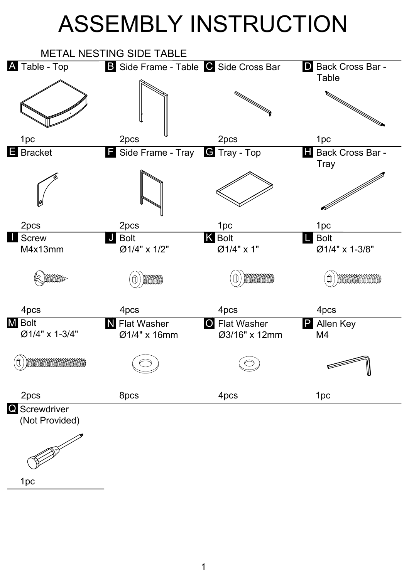## ASSEMBLY INSTRUCTION



1pc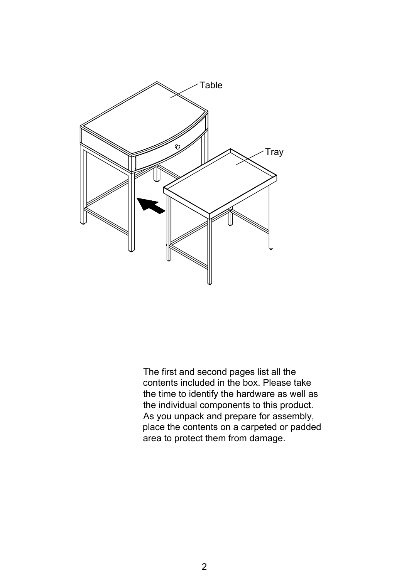

The first and second pages list all the contents included in the box. Please take the time to identify the hardware as well as the individual components to this product. As you unpack and prepare for assembly, place the contents on a carpeted or padded area to protect them from damage.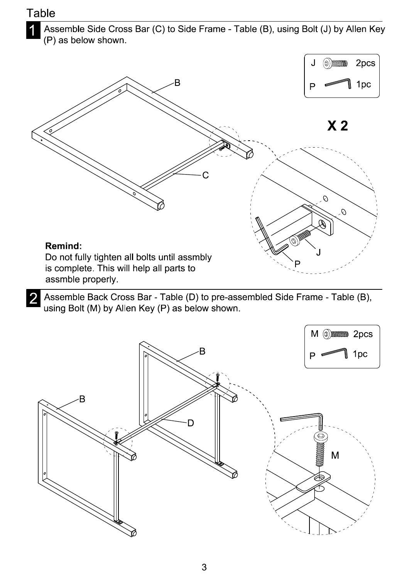## **Table**

 $\overline{2}$ 

1 Assemble Side Cross Bar (C) to Side Frame - Table (B), using Bolt (J) by Allen Key (P) as below shown.



Assemble Back Cross Bar - Table (D) to pre-assembled Side Frame - Table (B), using Bolt (M) by Allen Key (P) as below shown.

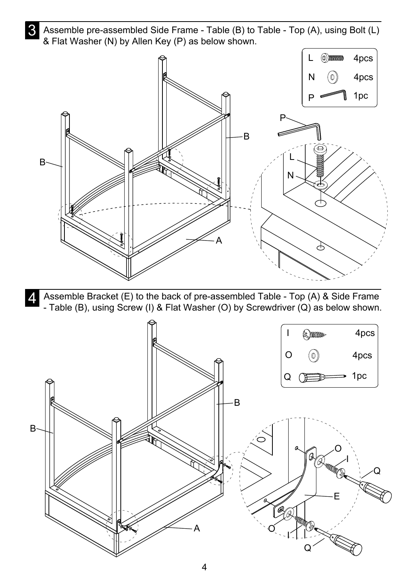3 Assemble pre-assembled Side Frame - Table (B) to Table - Top (A), using Bolt (L) & Flat Washer (N) by Allen Key (P) as below shown.



A Assemble Bracket (E) to the back of pre-assembled Table - Top (A) & Side Frame - Table (B), using Screw (I) & Flat Washer (O) by Screwdriver (Q) as below shown.

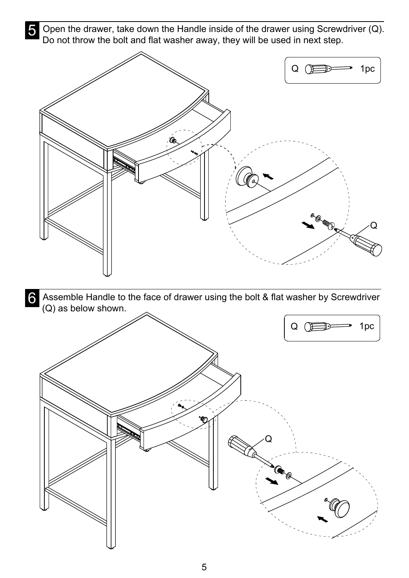**S** Open the drawer, take down the Handle inside of the drawer using Screwdriver (Q). Do not throw the bolt and flat washer away, they will be used in next step.



**6** Assemble Handle to the face of drawer using the bolt & flat washer by Screwdriver (Q) as below shown.

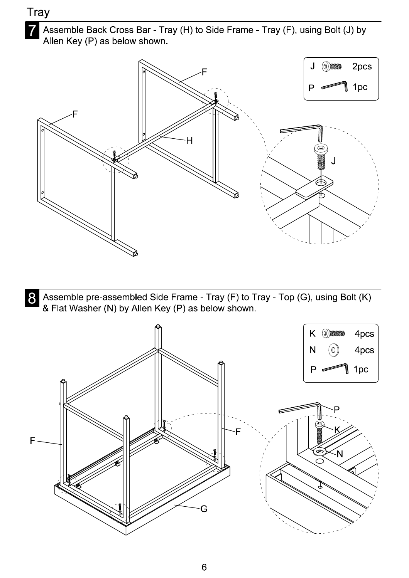## Tray



Assemble Back Cross Bar - Tray (H) to Side Frame - Tray (F), using Bolt (J) by Allen Key (P) as below shown.



8 Assemble pre-assembled Side Frame - Tray (F) to Tray - Top (G), using Bolt (K) & Flat Washer (N) by Allen Key (P) as below shown.